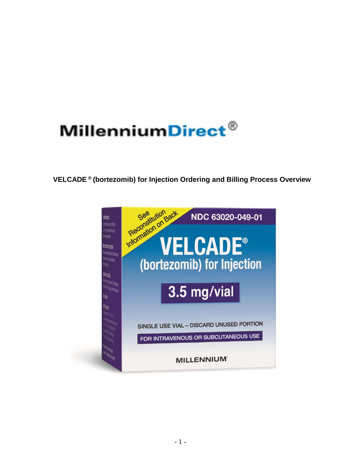# MillenniumDirect®

**VELCADE ® (bortezomib) for Injection Ordering and Billing Process Overview**

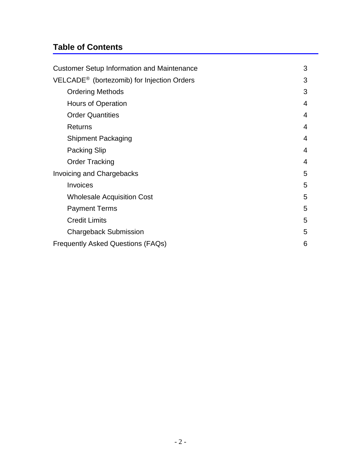# **Table of Contents**

| <b>Customer Setup Information and Maintenance</b>      |   |  |
|--------------------------------------------------------|---|--|
| VELCADE <sup>®</sup> (bortezomib) for Injection Orders |   |  |
| <b>Ordering Methods</b>                                | 3 |  |
| Hours of Operation                                     | 4 |  |
| <b>Order Quantities</b>                                | 4 |  |
| <b>Returns</b>                                         | 4 |  |
| <b>Shipment Packaging</b>                              | 4 |  |
| <b>Packing Slip</b>                                    | 4 |  |
| <b>Order Tracking</b>                                  | 4 |  |
| <b>Invoicing and Chargebacks</b>                       | 5 |  |
| Invoices                                               | 5 |  |
| <b>Wholesale Acquisition Cost</b>                      | 5 |  |
| <b>Payment Terms</b>                                   | 5 |  |
| <b>Credit Limits</b>                                   | 5 |  |
| <b>Chargeback Submission</b>                           | 5 |  |
| <b>Frequently Asked Questions (FAQs)</b>               | 6 |  |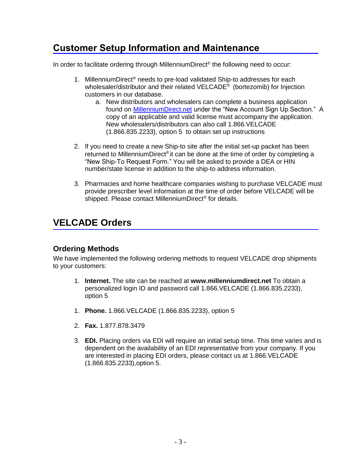# <span id="page-2-0"></span>**Customer Setup Information and Maintenance**

In order to facilitate ordering through MillenniumDirect® the following need to occur:

- 1. MillenniumDirect® needs to pre-load validated Ship-to addresses for each wholesaler/distributor and their related VELCADE® (bortezomib) for Injection customers in our database.
	- a. New distributors and wholesalers can complete a business application found on [MillenniumDirect.net](https://www.millenniumdirect.net/form.aspx?name=registration) under the "New Account Sign Up Section." A copy of an applicable and valid license must accompany the application. New wholesalers/distributors can also call 1.866.VELCADE (1.866.835.2233), option 5 to obtain set up instructions
- 2. If you need to create a new Ship-to site after the initial set-up packet has been returned to MillenniumDirect®it can be done at the time of order by completing a "New Ship-To Request Form." You will be asked to provide a DEA or HIN number/state license in addition to the ship-to address information.
- 3. Pharmacies and home healthcare companies wishing to purchase VELCADE must provide prescriber level information at the time of order before VELCADE will be shipped. Please contact MillenniumDirect® for details.

# <span id="page-2-1"></span>**VELCADE Orders**

# <span id="page-2-2"></span>**Ordering Methods**

We have implemented the following ordering methods to request VELCADE drop shipments to your customers:

- 1. **Internet.** The site can be reached at **www.millenniumdirect.net** To obtain a personalized login ID and password call 1.866.VELCADE (1.866.835.2233), option 5
- 1. **Phone.** 1.866.VELCADE (1.866.835.2233), option 5
- 2. **Fax.** 1.877.878.3479
- <span id="page-2-3"></span>3. **EDI.** Placing orders via EDI will require an initial setup time. This time varies and is dependent on the availability of an EDI representative from your company. If you are interested in placing EDI orders, please contact us at 1.866.VELCADE (1.866.835.2233),option 5.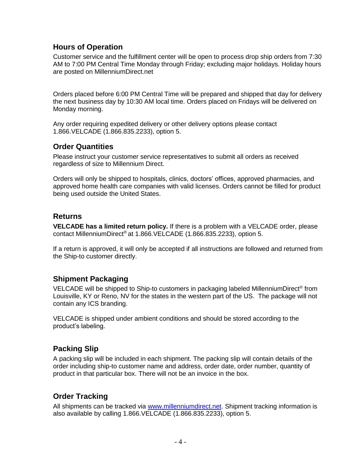# **Hours of Operation**

Customer service and the fulfillment center will be open to process drop ship orders from 7:30 AM to 7:00 PM Central Time Monday through Friday; excluding major holidays. Holiday hours are posted on MillenniumDirect.net

Orders placed before 6:00 PM Central Time will be prepared and shipped that day for delivery the next business day by 10:30 AM local time. Orders placed on Fridays will be delivered on Monday morning.

Any order requiring expedited delivery or other delivery options please contact 1.866.VELCADE (1.866.835.2233), option 5.

## <span id="page-3-0"></span>**Order Quantities**

Please instruct your customer service representatives to submit all orders as received regardless of size to Millennium Direct.

Orders will only be shipped to hospitals, clinics, doctors' offices, approved pharmacies, and approved home health care companies with valid licenses. Orders cannot be filled for product being used outside the United States.

## <span id="page-3-1"></span>**Returns**

**VELCADE has a limited return policy.** If there is a problem with a VELCADE order, please contact MillenniumDirect® at 1.866.VELCADE (1.866.835.2233), option 5.

If a return is approved, it will only be accepted if all instructions are followed and returned from the Ship-to customer directly.

## <span id="page-3-2"></span>**Shipment Packaging**

VELCADE will be shipped to Ship-to customers in packaging labeled MillenniumDirect® from Louisville, KY or Reno, NV for the states in the western part of the US. The package will not contain any ICS branding.

VELCADE is shipped under ambient conditions and should be stored according to the product's labeling.

## <span id="page-3-3"></span>**Packing Slip**

A packing slip will be included in each shipment. The packing slip will contain details of the order including ship-to customer name and address, order date, order number, quantity of product in that particular box. There will not be an invoice in the box.

# <span id="page-3-4"></span>**Order Tracking**

All shipments can be tracked via [www.millenniumdirect.net.](http://www.millenniumdirect.net/) Shipment tracking information is also available by calling 1.866.VELCADE (1.866.835.2233), option 5.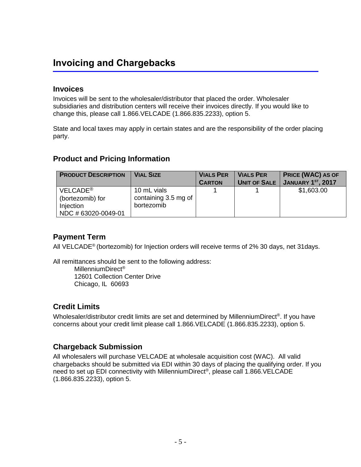# <span id="page-4-0"></span>**Invoicing and Chargebacks**

## <span id="page-4-1"></span>**Invoices**

Invoices will be sent to the wholesaler/distributor that placed the order. Wholesaler subsidiaries and distribution centers will receive their invoices directly. If you would like to change this, please call 1.866.VELCADE (1.866.835.2233), option 5.

State and local taxes may apply in certain states and are the responsibility of the order placing party.

# <span id="page-4-2"></span>**Product and Pricing Information**

| <b>PRODUCT DESCRIPTION</b>                                                   | <b>VIAL SIZE</b>                                  | <b>VIALS PER</b><br><b>CARTON</b> | <b>VIALS PER</b><br><b>UNIT OF SALE</b> | <b>PRICE (WAC) AS OF</b><br><b>JANUARY 1ST, 2017</b> |
|------------------------------------------------------------------------------|---------------------------------------------------|-----------------------------------|-----------------------------------------|------------------------------------------------------|
| VELCADE <sup>®</sup><br>(bortezomib) for<br>Injection<br>NDC # 63020-0049-01 | 10 mL vials<br>containing 3.5 mg of<br>bortezomib |                                   |                                         | \$1,603.00                                           |

# <span id="page-4-3"></span>**Payment Term**

All VELCADE® (bortezomib) for Injection orders will receive terms of 2% 30 days, net 31days.

All remittances should be sent to the following address:

MillenniumDirect® 12601 Collection Center Drive Chicago, IL 60693

# <span id="page-4-4"></span>**Credit Limits**

Wholesaler/distributor credit limits are set and determined by MillenniumDirect®. If you have concerns about your credit limit please call 1.866.VELCADE (1.866.835.2233), option 5.

# <span id="page-4-5"></span>**Chargeback Submission**

<span id="page-4-6"></span>All wholesalers will purchase VELCADE at wholesale acquisition cost (WAC). All valid chargebacks should be submitted via EDI within 30 days of placing the qualifying order. If you need to set up EDI connectivity with MillenniumDirect® , please call 1.866.VELCADE (1.866.835.2233), option 5.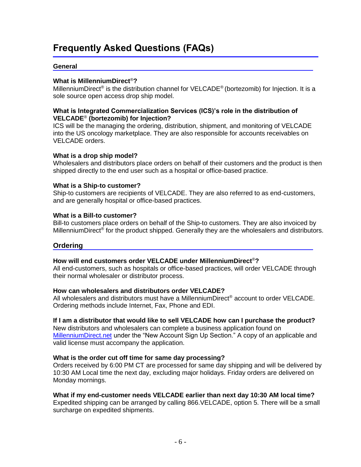# **Frequently Asked Questions (FAQs)**

#### **General**

#### **What is MillenniumDirect**®**?**

MillenniumDirect® is the distribution channel for VELCADE® (bortezomib) for Injection. It is a sole source open access drop ship model.

#### **What is Integrated Commercialization Services (ICS)'s role in the distribution of VELCADE**® **(bortezomib) for Injection?**

ICS will be the managing the ordering, distribution, shipment, and monitoring of VELCADE into the US oncology marketplace. They are also responsible for accounts receivables on VELCADE orders.

#### **What is a drop ship model?**

Wholesalers and distributors place orders on behalf of their customers and the product is then shipped directly to the end user such as a hospital or office-based practice.

#### **What is a Ship-to customer?**

Ship-to customers are recipients of VELCADE. They are also referred to as end-customers, and are generally hospital or office-based practices.

#### **What is a Bill-to customer?**

Bill-to customers place orders on behalf of the Ship-to customers. They are also invoiced by MillenniumDirect<sup>®</sup> for the product shipped. Generally they are the wholesalers and distributors.

#### **Ordering**

#### **How will end customers order VELCADE under MillenniumDirect**®**?**

All end-customers, such as hospitals or office-based practices, will order VELCADE through their normal wholesaler or distributor process.

#### **How can wholesalers and distributors order VELCADE?**

All wholesalers and distributors must have a MillenniumDirect® account to order VELCADE. Ordering methods include Internet, Fax, Phone and EDI.

#### **If I am a distributor that would like to sell VELCADE how can I purchase the product?**

New distributors and wholesalers can complete a business application found on [MillenniumDirect.net](https://www.millenniumdirect.net/form.aspx?name=registration) under the "New Account Sign Up Section." A copy of an applicable and valid license must accompany the application.

#### **What is the order cut off time for same day processing?**

Orders received by 6:00 PM CT are processed for same day shipping and will be delivered by 10:30 AM Local time the next day, excluding major holidays. Friday orders are delivered on Monday mornings.

#### **What if my end-customer needs VELCADE earlier than next day 10:30 AM local time?**

Expedited shipping can be arranged by calling 866.VELCADE, option 5. There will be a small surcharge on expedited shipments.